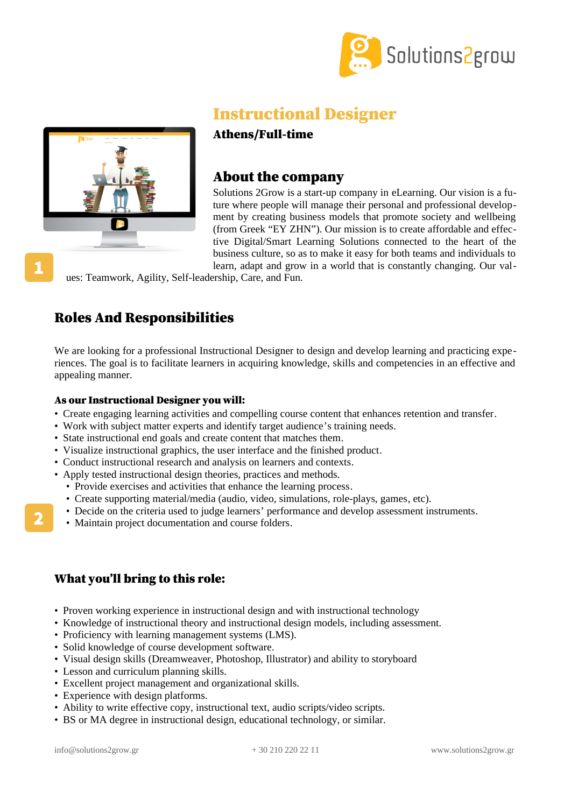



# Instructional Designer

## Athens/Full-time

## About the company

Solutions 2Grow is a start-up company in eLearning. Our vision is a future where people will manage their personal and professional development by creating business models that promote society and wellbeing (from Greek "ΕΥ ΖΗΝ"). Our mission is to create affordable and effective Digital/Smart Learning Solutions connected to the heart of the business culture, so as to make it easy for both teams and individuals to learn, adapt and grow in a world that is constantly changing. Our val-

ues: Teamwork, Agility, Self-leadership, Care, and Fun.

# Roles And Responsibilities

We are looking for a professional Instructional Designer to design and develop learning and practicing experiences. The goal is to facilitate learners in acquiring knowledge, skills and competencies in an effective and appealing manner.

#### As our Instructional Designer you will:

- Create engaging learning activities and compelling course content that enhances retention and transfer.
- Work with subject matter experts and identify target audience's training needs.
- State instructional end goals and create content that matches them.
- Visualize instructional graphics, the user interface and the finished product.
- Conduct instructional research and analysis on learners and contexts.
- Apply tested instructional design theories, practices and methods.
	- Provide exercises and activities that enhance the learning process.
	- Create supporting material/media (audio, video, simulations, role-plays, games, etc).
	- Decide on the criteria used to judge learners' performance and develop assessment instruments.
	- Maintain project documentation and course folders.

# What you'll bring to this role:

- Proven working experience in instructional design and with instructional technology
- Knowledge of instructional theory and instructional design models, including assessment.
- Proficiency with learning management systems (LMS).
- Solid knowledge of course development software.
- Visual design skills (Dreamweaver, Photoshop, Illustrator) and ability to storyboard
- Lesson and curriculum planning skills.
- Excellent project management and organizational skills.
- Experience with design platforms.
- Ability to write effective copy, instructional text, audio scripts/video scripts.
- BS or MA degree in instructional design, educational technology, or similar.

2